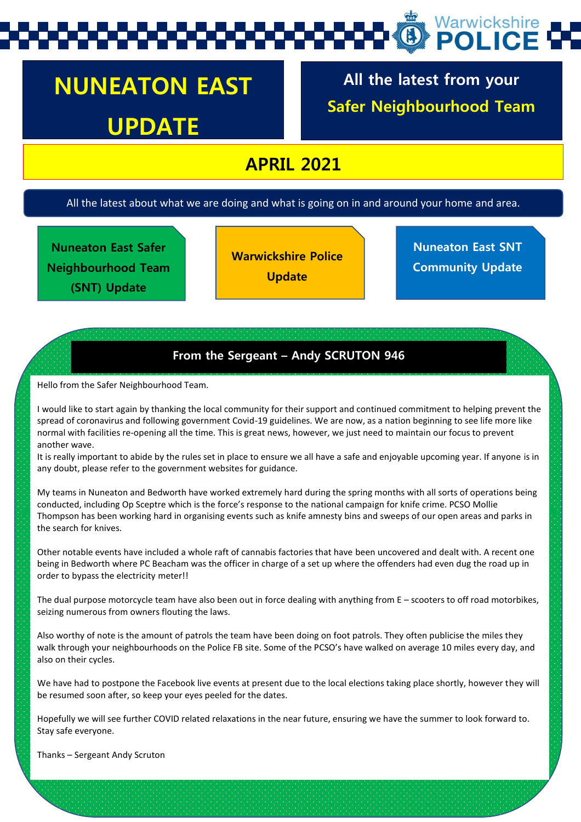# Warwickshire

## **NUNEATON EAST UPDATE**

**All the latest from your Safer Neighbourhood Team**

### **APRIL 2021**

All the latest about what we are doing and what is going on in and around your home and area.

**Nuneaton East Safer Neighbourhood Team (SNT) Update** 

**Warwickshire Police Update**

**Nuneaton East SNT Community Update**

#### **From the Sergeant – Andy SCRUTON 946**

Hello from the Safer Neighbourhood Team.

I would like to start again by thanking the local community for their support and continued commitment to helping prevent the spread of coronavirus and following government Covid-19 guidelines. We are now, as a nation beginning to see life more like normal with facilities re-opening all the time. This is great news, however, we just need to maintain our focus to prevent another wave.

It is really important to abide by the rules set in place to ensure we all have a safe and enjoyable upcoming year. If anyone is in any doubt, please refer to the government websites for guidance.

My teams in Nuneaton and Bedworth have worked extremely hard during the spring months with all sorts of operations being conducted, including Op Sceptre which is the force's response to the national campaign for knife crime. PCSO Mollie Thompson has been working hard in organising events such as knife amnesty bins and sweeps of our open areas and parks in the search for knives.

Other notable events have included a whole raft of cannabis factories that have been uncovered and dealt with. A recent one being in Bedworth where PC Beacham was the officer in charge of a set up where the offenders had even dug the road up in order to bypass the electricity meter!!

The dual purpose motorcycle team have also been out in force dealing with anything from E – scooters to off road motorbikes, seizing numerous from owners flouting the laws.

Also worthy of note is the amount of patrols the team have been doing on foot patrols. They often publicise the miles they walk through your neighbourhoods on the Police FB site. Some of the PCSO's have walked on average 10 miles every day, and also on their cycles.

We have had to postpone the Facebook live events at present due to the local elections taking place shortly, however they will be resumed soon after, so keep your eyes peeled for the dates.

Hopefully we will see further COVID related relaxations in the near future, ensuring we have the summer to look forward to. Stay safe everyone.

Thanks – Sergeant Andy Scruton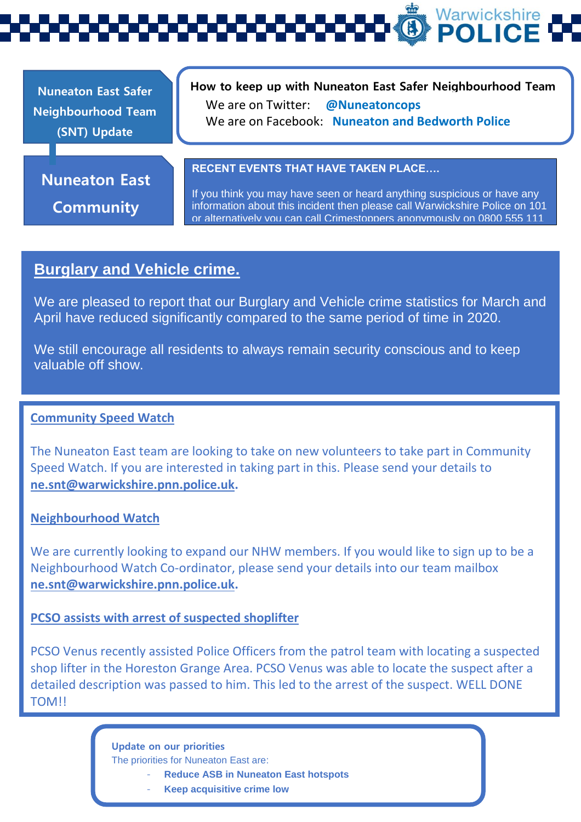Warwickshire **POLIC** 

**Nuneaton East Safer Neighbourhood Team (SNT) Update** 

#### **How to keep up with Nuneaton East Safer Neighbourhood Team**  We are on Twitter: **@Nuneatoncops** We are on Facebook: **Nuneaton and Bedworth Police**

**Nuneaton East**

**Community** 

#### **RECENT EVENTS THAT HAVE TAKEN PLACE….**

If you think you may have seen or heard anything suspicious or have any information about this incident then please call Warwickshire Police on 101 or alternatively you can call Crimestoppers anonymously on 0800 555 111

#### **Burglary and Vehicle crime.**

We are pleased to report that our Burglary and Vehicle crime statistics for March and April have reduced significantly compared to the same period of time in 2020.

We still encourage all residents to always remain security conscious and to keep valuable off show.

#### **Community Speed Watch**

The Nuneaton East team are looking to take on new volunteers to take part in Community Speed Watch. If you are interested in taking part in this. Please send your details to **[ne.snt@warwickshire.pnn.police.uk.](mailto:ne.snt@warwickshire.pnn.police.uk)**

#### **Neighbourhood Watch**

We are currently looking to expand our NHW members. If you would like to sign up to be a Neighbourhood Watch Co-ordinator, please send your details into our team mailbox **[ne.snt@warwickshire.pnn.police.uk.](mailto:ne.snt@warwickshire.pnn.police.uk)**

#### **PCSO assists with arrest of suspected shoplifter**

PCSO Venus recently assisted Police Officers from the patrol team with locating a suspected shop lifter in the Horeston Grange Area. PCSO Venus was able to locate the suspect after a detailed description was passed to him. This led to the arrest of the suspect. WELL DONE TOM!!

> **Update on our priorities** The priorities for Nuneaton East are:

- **Reduce ASB in Nuneaton East hotspots**
- **Keep acquisitive crime low**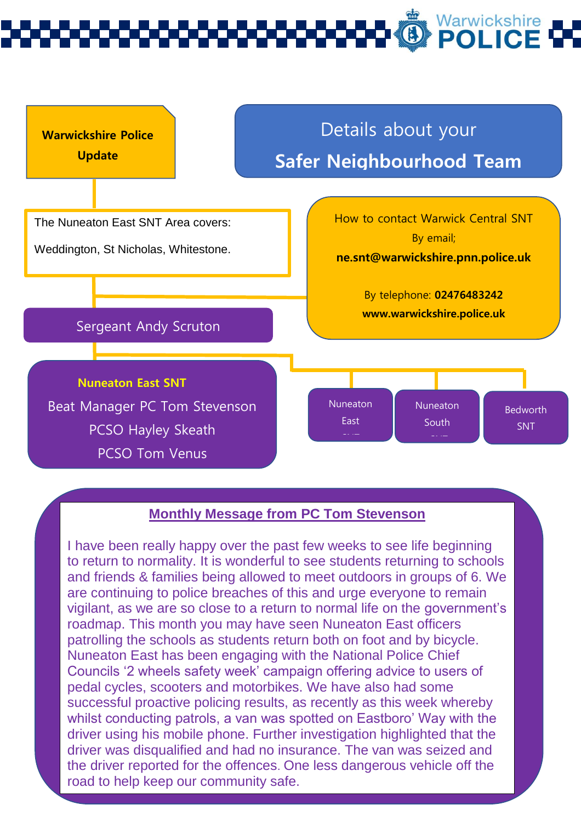# Warwickshire



#### **Monthly Message from PC Tom Stevenson**

I have been really happy over the past few weeks to see life beginning to return to normality. It is wonderful to see students returning to schools and friends & families being allowed to meet outdoors in groups of 6. We are continuing to police breaches of this and urge everyone to remain vigilant, as we are so close to a return to normal life on the government's roadmap. This month you may have seen Nuneaton East officers patrolling the schools as students return both on foot and by bicycle. Nuneaton East has been engaging with the National Police Chief Councils '2 wheels safety week' campaign offering advice to users of pedal cycles, scooters and motorbikes. We have also had some successful proactive policing results, as recently as this week whereby whilst conducting patrols, a van was spotted on Eastboro' Way with the driver using his mobile phone. Further investigation highlighted that the driver was disqualified and had no insurance. The van was seized and the driver reported for the offences. One less dangerous vehicle off the road to help keep our community safe.